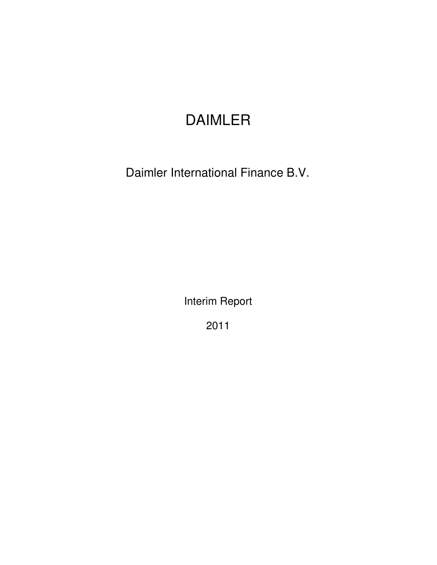# DAIMLER

Daimler International Finance B.V.

Interim Report

2011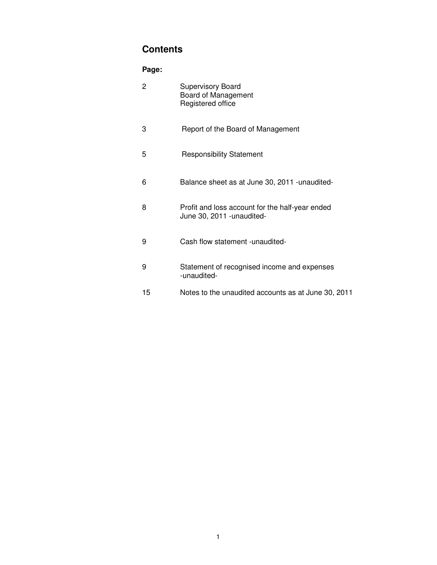# **Contents**

# **Page:**

| $\overline{2}$ | <b>Supervisory Board</b><br>Board of Management<br>Registered office          |
|----------------|-------------------------------------------------------------------------------|
| 3              | Report of the Board of Management                                             |
| 5              | <b>Responsibility Statement</b>                                               |
| 6              | Balance sheet as at June 30, 2011 - unaudited-                                |
| 8              | Profit and loss account for the half-year ended<br>June 30, 2011 - unaudited- |
| 9              | Cash flow statement - unaudited-                                              |
| 9              | Statement of recognised income and expenses<br>-unaudited-                    |
| 15             | Notes to the unaudited accounts as at June 30, 2011                           |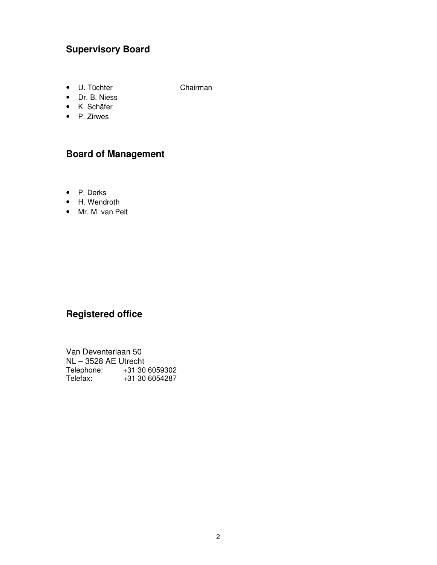# **Supervisory Board**

• U. Tüchter Chairman

• Dr. B. Niess

- K. Schäfer
- P. Zirwes

# **Board of Management**

- P. Derks
- H. Wendroth
- Mr. M. van Pelt

# **Registered office**

| Van Deventerlaan 50  |                  |  |  |  |  |  |  |
|----------------------|------------------|--|--|--|--|--|--|
| NL - 3528 AE Utrecht |                  |  |  |  |  |  |  |
| Telephone:           | $+31,30,6059302$ |  |  |  |  |  |  |
| Telefax:             | +31 30 6054287   |  |  |  |  |  |  |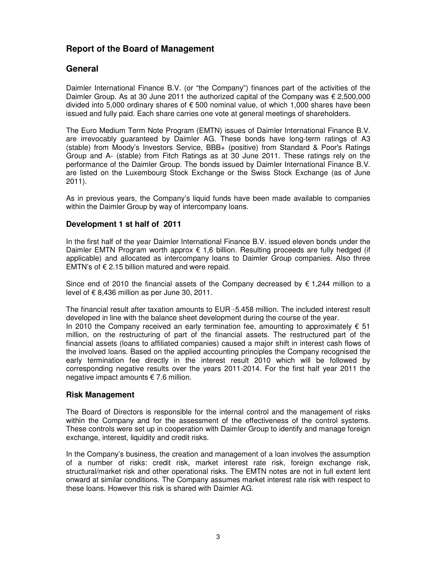# **Report of the Board of Management**

# **General**

Daimler International Finance B.V. (or "the Company") finances part of the activities of the Daimler Group. As at 30 June 2011 the authorized capital of the Company was  $\epsilon$  2,500,000 divided into 5,000 ordinary shares of € 500 nominal value, of which 1,000 shares have been issued and fully paid. Each share carries one vote at general meetings of shareholders.

The Euro Medium Term Note Program (EMTN) issues of Daimler International Finance B.V. are irrevocably guaranteed by Daimler AG. These bonds have long-term ratings of A3 (stable) from Moody's Investors Service, BBB+ (positive) from Standard & Poor's Ratings Group and A- (stable) from Fitch Ratings as at 30 June 2011. These ratings rely on the performance of the Daimler Group. The bonds issued by Daimler International Finance B.V. are listed on the Luxembourg Stock Exchange or the Swiss Stock Exchange (as of June 2011).

As in previous years, the Company's liquid funds have been made available to companies within the Daimler Group by way of intercompany loans.

#### **Development 1 st half of 2011**

In the first half of the year Daimler International Finance B.V. issued eleven bonds under the Daimler EMTN Program worth approx  $€ 1,6$  billion. Resulting proceeds are fully hedged (if applicable) and allocated as intercompany loans to Daimler Group companies. Also three EMTN's of  $\epsilon$  2.15 billion matured and were repaid.

Since end of 2010 the financial assets of the Company decreased by  $\epsilon$  1,244 million to a level of  $\epsilon$  8,436 million as per June 30, 2011.

The financial result after taxation amounts to EUR -5.458 million. The included interest result developed in line with the balance sheet development during the course of the year. In 2010 the Company received an early termination fee, amounting to approximately  $\epsilon$  51 million, on the restructuring of part of the financial assets. The restructured part of the financial assets (loans to affiliated companies) caused a major shift in interest cash flows of the involved loans. Based on the applied accounting principles the Company recognised the early termination fee directly in the interest result 2010 which will be followed by corresponding negative results over the years 2011-2014. For the first half year 2011 the

#### **Risk Management**

negative impact amounts € 7.6 million.

The Board of Directors is responsible for the internal control and the management of risks within the Company and for the assessment of the effectiveness of the control systems. These controls were set up in cooperation with Daimler Group to identify and manage foreign exchange, interest, liquidity and credit risks.

In the Company's business, the creation and management of a loan involves the assumption of a number of risks: credit risk, market interest rate risk, foreign exchange risk, structural/market risk and other operational risks. The EMTN notes are not in full extent lent onward at similar conditions. The Company assumes market interest rate risk with respect to these loans. However this risk is shared with Daimler AG.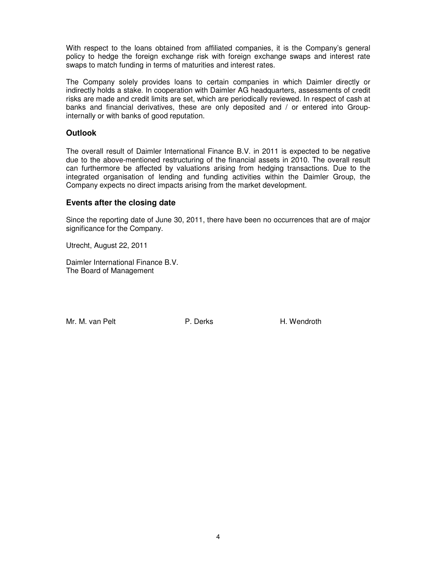With respect to the loans obtained from affiliated companies, it is the Company's general policy to hedge the foreign exchange risk with foreign exchange swaps and interest rate swaps to match funding in terms of maturities and interest rates.

The Company solely provides loans to certain companies in which Daimler directly or indirectly holds a stake. In cooperation with Daimler AG headquarters, assessments of credit risks are made and credit limits are set, which are periodically reviewed. In respect of cash at banks and financial derivatives, these are only deposited and / or entered into Groupinternally or with banks of good reputation.

#### **Outlook**

The overall result of Daimler International Finance B.V. in 2011 is expected to be negative due to the above-mentioned restructuring of the financial assets in 2010. The overall result can furthermore be affected by valuations arising from hedging transactions. Due to the integrated organisation of lending and funding activities within the Daimler Group, the Company expects no direct impacts arising from the market development.

#### **Events after the closing date**

Since the reporting date of June 30, 2011, there have been no occurrences that are of major significance for the Company.

Utrecht, August 22, 2011

Daimler International Finance B.V. The Board of Management

Mr. M. van Pelt **P. Derks** H. Wendroth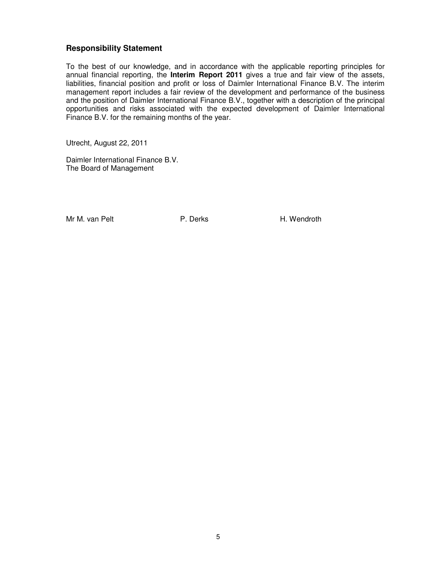#### **Responsibility Statement**

To the best of our knowledge, and in accordance with the applicable reporting principles for annual financial reporting, the **Interim Report 2011** gives a true and fair view of the assets, liabilities, financial position and profit or loss of Daimler International Finance B.V. The interim management report includes a fair review of the development and performance of the business and the position of Daimler International Finance B.V., together with a description of the principal opportunities and risks associated with the expected development of Daimler International Finance B.V. for the remaining months of the year.

Utrecht, August 22, 2011

Daimler International Finance B.V. The Board of Management

Mr M. van Pelt **P. Derks** H. Wendroth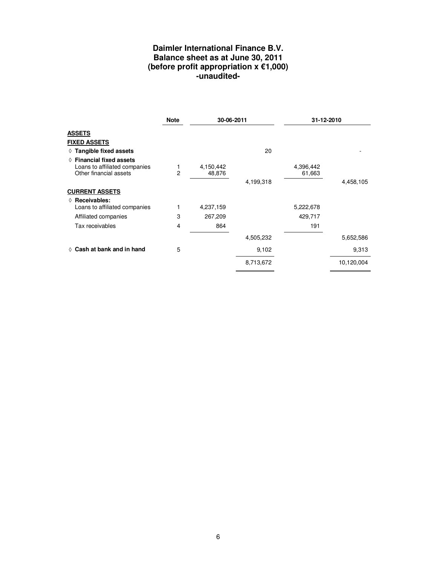# **Daimler International Finance B.V. Balance sheet as at June 30, 2011 (before profit appropriation x €1,000) -unaudited-**

|                                                                                              | <b>Note</b> | 30-06-2011          |           | 31-12-2010          |            |
|----------------------------------------------------------------------------------------------|-------------|---------------------|-----------|---------------------|------------|
| <b>ASSETS</b>                                                                                |             |                     |           |                     |            |
| <b>FIXED ASSETS</b>                                                                          |             |                     |           |                     |            |
| $\Diamond$ Tangible fixed assets                                                             |             |                     | 20        |                     |            |
| $\Diamond$ Financial fixed assets<br>Loans to affiliated companies<br>Other financial assets | 1<br>2      | 4,150,442<br>48,876 |           | 4,396,442<br>61,663 |            |
|                                                                                              |             |                     | 4,199,318 |                     | 4,458,105  |
| <b>CURRENT ASSETS</b>                                                                        |             |                     |           |                     |            |
| $\Diamond$ Receivables:<br>Loans to affiliated companies                                     |             | 4,237,159           |           | 5,222,678           |            |
| Affiliated companies                                                                         | 3           | 267,209             |           | 429,717             |            |
| Tax receivables                                                                              | 4           | 864                 |           | 191                 |            |
|                                                                                              |             |                     | 4,505,232 |                     | 5,652,586  |
| $\Diamond$ Cash at bank and in hand                                                          | 5           |                     | 9,102     |                     | 9,313      |
|                                                                                              |             |                     | 8,713,672 |                     | 10,120,004 |
|                                                                                              |             |                     |           |                     |            |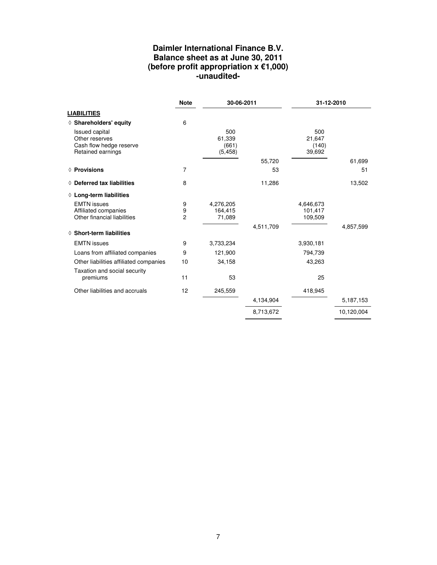# **Daimler International Finance B.V. Balance sheet as at June 30, 2011 (before profit appropriation x €1,000) -unaudited-**

|                                                                                         | <b>Note</b>              | 30-06-2011                         |           | 31-12-2010                       |            |
|-----------------------------------------------------------------------------------------|--------------------------|------------------------------------|-----------|----------------------------------|------------|
| <b>LIABILITIES</b>                                                                      |                          |                                    |           |                                  |            |
| $\Diamond$ Shareholders' equity                                                         | 6                        |                                    |           |                                  |            |
| <b>Issued capital</b><br>Other reserves<br>Cash flow hedge reserve<br>Retained earnings |                          | 500<br>61,339<br>(661)<br>(5, 458) |           | 500<br>21,647<br>(140)<br>39,692 |            |
|                                                                                         |                          |                                    | 55,720    |                                  | 61,699     |
| ◊ Provisions                                                                            | 7                        |                                    | 53        |                                  | 51         |
| $\Diamond$ Deferred tax liabilities                                                     | 8                        |                                    | 11,286    |                                  | 13,502     |
| $\Diamond$ Long-term liabilities                                                        |                          |                                    |           |                                  |            |
| <b>EMTN</b> issues<br>Affiliated companies<br>Other financial liabilities               | 9<br>9<br>$\overline{2}$ | 4,276,205<br>164.415<br>71,089     |           | 4,646,673<br>101,417<br>109,509  |            |
| $\diamond$ Short-term liabilities                                                       |                          |                                    | 4,511,709 |                                  | 4,857,599  |
| <b>EMTN</b> issues                                                                      | 9                        | 3,733,234                          |           | 3,930,181                        |            |
| Loans from affiliated companies                                                         | 9                        | 121,900                            |           | 794,739                          |            |
| Other liabilities affiliated companies                                                  | 10                       | 34,158                             |           | 43,263                           |            |
| Taxation and social security<br>premiums                                                | 11                       | 53                                 |           | 25                               |            |
| Other liabilities and accruals                                                          | 12                       | 245,559                            |           | 418,945                          |            |
|                                                                                         |                          |                                    | 4,134,904 |                                  | 5,187,153  |
|                                                                                         |                          |                                    | 8,713,672 |                                  | 10,120,004 |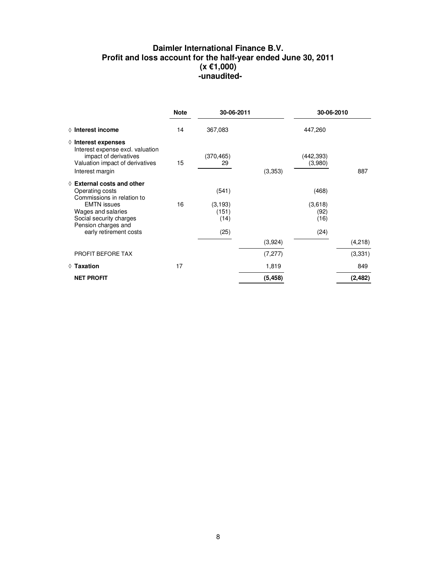# **Daimler International Finance B.V. Profit and loss account for the half-year ended June 30, 2011 (x €1,000)**  *<u> -unaudited-</u>*

|                                                                                                                                                                                                              | <b>Note</b><br>30-06-2011 |                                            |          | 30-06-2010                               |          |
|--------------------------------------------------------------------------------------------------------------------------------------------------------------------------------------------------------------|---------------------------|--------------------------------------------|----------|------------------------------------------|----------|
| $\Diamond$ Interest income                                                                                                                                                                                   | 14                        | 367,083                                    |          | 447,260                                  |          |
| $\Diamond$ Interest expenses<br>Interest expense excl. valuation<br>impact of derivatives<br>Valuation impact of derivatives<br>Interest margin                                                              | 15                        | (370, 465)<br>29                           | (3,353)  | (442,393)<br>(3,980)                     | 887      |
| $\Diamond$ External costs and other<br>Operating costs<br>Commissions in relation to<br><b>EMTN</b> issues<br>Wages and salaries<br>Social security charges<br>Pension charges and<br>early retirement costs | 16                        | (541)<br>(3, 193)<br>(151)<br>(14)<br>(25) |          | (468)<br>(3,618)<br>(92)<br>(16)<br>(24) |          |
|                                                                                                                                                                                                              |                           |                                            | (3,924)  |                                          | (4,218)  |
| PROFIT BEFORE TAX                                                                                                                                                                                            |                           |                                            | (7, 277) |                                          | (3,331)  |
| $\Diamond$ Taxation                                                                                                                                                                                          | 17                        |                                            | 1,819    |                                          | 849      |
| <b>NET PROFIT</b>                                                                                                                                                                                            |                           |                                            | (5, 458) |                                          | (2, 482) |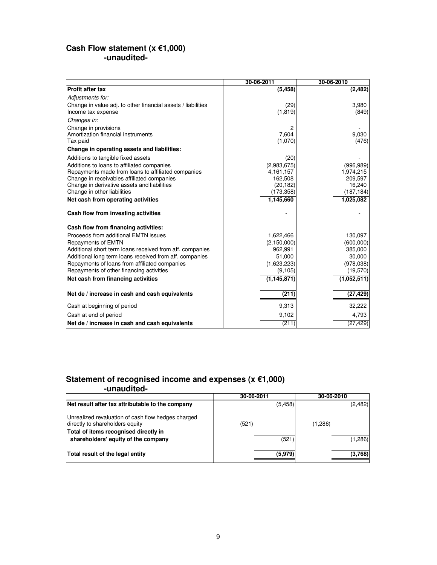#### **Cash Flow statement (x €1,000) -unaudited-**

|                                                                                                                                                                                                                                                                                                          | 30-06-2011                                                                                  | 30-06-2010                                                              |
|----------------------------------------------------------------------------------------------------------------------------------------------------------------------------------------------------------------------------------------------------------------------------------------------------------|---------------------------------------------------------------------------------------------|-------------------------------------------------------------------------|
| <b>Profit after tax</b>                                                                                                                                                                                                                                                                                  | (5, 458)                                                                                    | (2, 482)                                                                |
| Adjustments for:                                                                                                                                                                                                                                                                                         |                                                                                             |                                                                         |
| Change in value adj. to other financial assets / liabilities<br>Income tax expense                                                                                                                                                                                                                       | (29)<br>(1, 819)                                                                            | 3,980<br>(849)                                                          |
| Changes in:                                                                                                                                                                                                                                                                                              |                                                                                             |                                                                         |
| Change in provisions<br>Amortization financial instruments<br>Tax paid                                                                                                                                                                                                                                   | 2<br>7,604<br>(1,070)                                                                       | 9,030<br>(476)                                                          |
| Change in operating assets and liabilities:                                                                                                                                                                                                                                                              |                                                                                             |                                                                         |
| Additions to tangible fixed assets<br>Additions to loans to affiliated companies<br>Repayments made from loans to affiliated companies<br>Change in receivables affiliated companies<br>Change in derivative assets and liabilities<br>Change in other liabilities<br>Net cash from operating activities | (20)<br>(2,983,675)<br>4, 161, 157<br>162,508<br>(20, 182)<br>(173, 358)<br>1,145,660       | (996, 989)<br>1,974,215<br>209,597<br>16,240<br>(187, 184)<br>1,025,082 |
| Cash flow from investing activities                                                                                                                                                                                                                                                                      |                                                                                             |                                                                         |
| Cash flow from financing activities:                                                                                                                                                                                                                                                                     |                                                                                             |                                                                         |
| Proceeds from additional EMTN issues<br><b>Repayments of EMTN</b><br>Additional short term loans received from aff. companies<br>Additional long term loans received from aff. companies<br>Repayments of loans from affiliated companies<br>Repayments of other financing activities                    | 1,622,466<br>(2, 150, 000)<br>962,991<br>51,000<br>(1,623,223)<br>(9, 105)<br>(1, 145, 871) | 130,097<br>(600,000)<br>385,000<br>30,000<br>(978,038)<br>(19, 570)     |
| Net cash from financing activities                                                                                                                                                                                                                                                                       |                                                                                             | (1,052,511)                                                             |
| Net de / increase in cash and cash equivalents                                                                                                                                                                                                                                                           | (211)                                                                                       | (27, 429)                                                               |
| Cash at beginning of period                                                                                                                                                                                                                                                                              | 9,313                                                                                       | 32,222                                                                  |
| Cash at end of period                                                                                                                                                                                                                                                                                    | 9,102                                                                                       | 4,793                                                                   |
| Net de / increase in cash and cash equivalents                                                                                                                                                                                                                                                           | (211)                                                                                       | (27, 429)                                                               |

#### **Statement of recognised income and expenses (x €1,000) -unaudited-**

|                                                                                                                                | 30-06-2011 | 30-06-2010 |  |
|--------------------------------------------------------------------------------------------------------------------------------|------------|------------|--|
| Net result after tax attributable to the company                                                                               | (5, 458)   | (2,482)    |  |
| Unrealized revaluation of cash flow hedges charged<br>directly to shareholders equity<br>Total of items recognised directly in | (521)      | (1,286)    |  |
| shareholders' equity of the company                                                                                            | (521)      | (1,286)    |  |
| Total result of the legal entity                                                                                               | (5,979)    | (3,768)    |  |
|                                                                                                                                |            |            |  |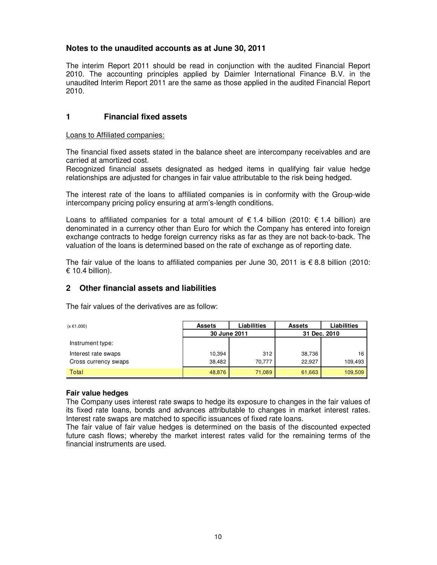#### **Notes to the unaudited accounts as at June 30, 2011**

The interim Report 2011 should be read in conjunction with the audited Financial Report 2010. The accounting principles applied by Daimler International Finance B.V. in the unaudited Interim Report 2011 are the same as those applied in the audited Financial Report 2010.

#### **1 Financial fixed assets**

Loans to Affiliated companies:

The financial fixed assets stated in the balance sheet are intercompany receivables and are carried at amortized cost.

Recognized financial assets designated as hedged items in qualifying fair value hedge relationships are adjusted for changes in fair value attributable to the risk being hedged.

The interest rate of the loans to affiliated companies is in conformity with the Group-wide intercompany pricing policy ensuring at arm's-length conditions.

Loans to affiliated companies for a total amount of  $\epsilon$  1.4 billion (2010:  $\epsilon$  1.4 billion) are denominated in a currency other than Euro for which the Company has entered into foreign exchange contracts to hedge foreign currency risks as far as they are not back-to-back. The valuation of the loans is determined based on the rate of exchange as of reporting date.

The fair value of the loans to affiliated companies per June 30, 2011 is  $\epsilon$  8.8 billion (2010: € 10.4 billion).

### **2 Other financial assets and liabilities**

The fair values of the derivatives are as follow:

| $(x \in 1,000)$      | <b>Assets</b> | Liabilities | <b>Assets</b> | Liabilities  |
|----------------------|---------------|-------------|---------------|--------------|
|                      | 30 June 2011  |             |               | 31 Dec. 2010 |
| Instrument type:     |               |             |               |              |
| Interest rate swaps  | 10,394        | 312         | 38,736        | 16           |
| Cross currency swaps | 38.482        | 70.777      | 22.927        | 109,493      |
| Total                | 48,876        | 71,089      | 61,663        | 109,509      |

#### **Fair value hedges**

The Company uses interest rate swaps to hedge its exposure to changes in the fair values of its fixed rate loans, bonds and advances attributable to changes in market interest rates. Interest rate swaps are matched to specific issuances of fixed rate loans.

The fair value of fair value hedges is determined on the basis of the discounted expected future cash flows; whereby the market interest rates valid for the remaining terms of the financial instruments are used.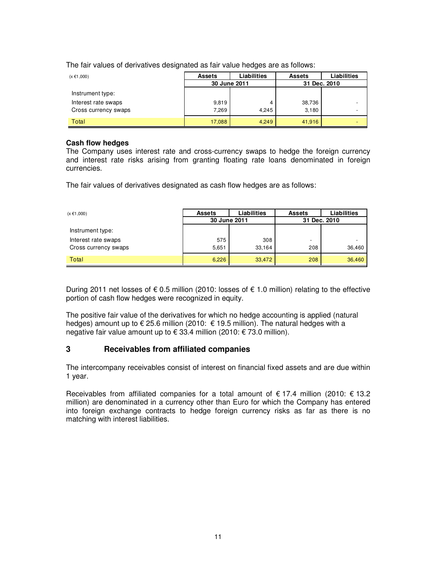The fair values of derivatives designated as fair value hedges are as follows:

| $(x \in 1,000)$      | <b>Assets</b> | Liabilities | <b>Assets</b> | Liabilities |
|----------------------|---------------|-------------|---------------|-------------|
|                      | 30 June 2011  |             | 31 Dec. 2010  |             |
| Instrument type:     |               |             |               |             |
| Interest rate swaps  | 9,819         | 4           | 38,736        |             |
| Cross currency swaps | 7,269         | 4.245       | 3,180         |             |
| Total                | 17,088        | 4.249       | 41,916        |             |

#### **Cash flow hedges**

The Company uses interest rate and cross-currency swaps to hedge the foreign currency and interest rate risks arising from granting floating rate loans denominated in foreign currencies.

The fair values of derivatives designated as cash flow hedges are as follows:

| $(x \in 1,000)$      | <b>Assets</b> | <b>Liabilities</b> | <b>Assets</b>            | <b>Liabilities</b> |  |  |              |  |
|----------------------|---------------|--------------------|--------------------------|--------------------|--|--|--------------|--|
|                      | 30 June 2011  |                    |                          |                    |  |  | 31 Dec. 2010 |  |
| Instrument type:     |               |                    |                          |                    |  |  |              |  |
| Interest rate swaps  | 575           | 308                | $\overline{\phantom{0}}$ |                    |  |  |              |  |
| Cross currency swaps | 5,651         | 33.164             | 208                      | 36,460             |  |  |              |  |
| Total                | 6,226         | 33,472             | 208                      | 36,460             |  |  |              |  |

During 2011 net losses of € 0.5 million (2010: losses of € 1.0 million) relating to the effective portion of cash flow hedges were recognized in equity.

The positive fair value of the derivatives for which no hedge accounting is applied (natural hedges) amount up to  $\epsilon$  25.6 million (2010:  $\epsilon$  19.5 million). The natural hedges with a negative fair value amount up to € 33.4 million (2010: € 73.0 million).

#### **3 Receivables from affiliated companies**

The intercompany receivables consist of interest on financial fixed assets and are due within 1 year.

Receivables from affiliated companies for a total amount of  $\epsilon$  17.4 million (2010:  $\epsilon$  13.2 million) are denominated in a currency other than Euro for which the Company has entered into foreign exchange contracts to hedge foreign currency risks as far as there is no matching with interest liabilities.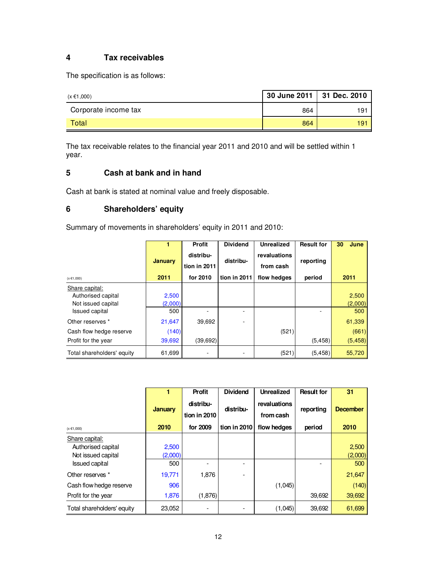# **4 Tax receivables**

The specification is as follows:

| (x €1,000)           | 30 June 2011   31 Dec. 2010 |     |
|----------------------|-----------------------------|-----|
| Corporate income tax | 864                         | 191 |
| Total                | 864                         | 191 |

The tax receivable relates to the financial year 2011 and 2010 and will be settled within 1 year.

# **5 Cash at bank and in hand**

Cash at bank is stated at nominal value and freely disposable.

# **6 Shareholders' equity**

Summary of movements in shareholders' equity in 2011 and 2010:

|                            |                | <b>Profit</b>             | <b>Dividend</b> | <b>Unrealized</b>         | <b>Result for</b> | 30<br>June |
|----------------------------|----------------|---------------------------|-----------------|---------------------------|-------------------|------------|
|                            | <b>January</b> | distribu-<br>tion in 2011 | distribu-       | revaluations<br>from cash | reporting         |            |
| $(x \in 1,000)$            | 2011           | for 2010                  | tion in 2011    | flow hedges               | period            | 2011       |
| Share capital:             |                |                           |                 |                           |                   |            |
| Authorised capital         | 2,500          |                           |                 |                           |                   | 2,500      |
| Not issued capital         | (2,000)        |                           |                 |                           |                   | (2,000)    |
| <b>Issued capital</b>      | 500            |                           |                 |                           |                   | 500        |
| Other reserves *           | 21,647         | 39,692                    |                 |                           |                   | 61,339     |
| Cash flow hedge reserve    | (140)          |                           |                 | (521)                     |                   | (661)      |
| Profit for the year        | 39,692         | (39, 692)                 |                 |                           | (5, 458)          | (5, 458)   |
| Total shareholders' equity | 61,699         |                           |                 | (521)                     | (5, 458)          | 55,720     |

|                                                            |                  | <b>Profit</b>             | <b>Dividend</b> | <b>Unrealized</b>         | <b>Result for</b> | 31               |
|------------------------------------------------------------|------------------|---------------------------|-----------------|---------------------------|-------------------|------------------|
|                                                            | <b>January</b>   | distribu-<br>tion in 2010 | distribu-       | revaluations<br>from cash | reporting         | <b>December</b>  |
| $(x \in 1,000)$                                            | 2010             | for 2009                  | tion in 2010    | flow hedges               | period            | 2010             |
| Share capital:<br>Authorised capital<br>Not issued capital | 2,500<br>(2,000) |                           |                 |                           |                   | 2,500<br>(2,000) |
| <b>Issued capital</b>                                      | 500              |                           |                 |                           |                   | 500              |
| Other reserves *                                           | 19,771           | 1,876                     |                 |                           |                   | 21,647           |
| Cash flow hedge reserve                                    | 906              |                           |                 | (1,045)                   |                   | (140)            |
| Profit for the year                                        | 1,876            | (1,876)                   |                 |                           | 39,692            | 39,692           |
| Total shareholders' equity                                 | 23,052           |                           |                 | (1,045)                   | 39,692            | 61,699           |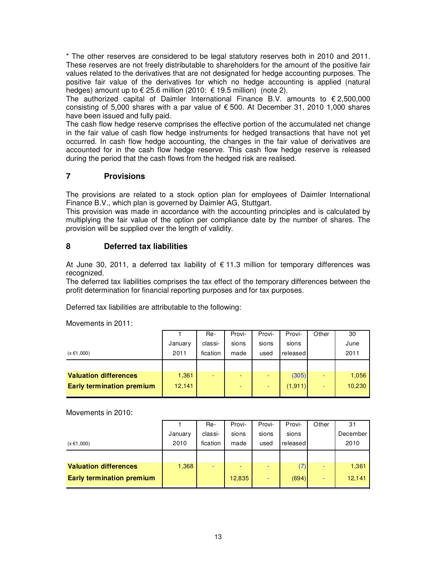\* The other reserves are considered to be legal statutory reserves both in 2010 and 2011. These reserves are not freely distributable to shareholders for the amount of the positive fair values related to the derivatives that are not designated for hedge accounting purposes. The positive fair value of the derivatives for which no hedge accounting is applied (natural hedges) amount up to  $\epsilon$  25.6 million (2010:  $\epsilon$  19.5 million) (note 2).

The authorized capital of Daimler International Finance B.V. amounts to  $\epsilon$  2,500,000 consisting of 5,000 shares with a par value of  $\epsilon$  500. At December 31, 2010 1,000 shares have been issued and fully paid.

The cash flow hedge reserve comprises the effective portion of the accumulated net change in the fair value of cash flow hedge instruments for hedged transactions that have not yet occurred. In cash flow hedge accounting, the changes in the fair value of derivatives are accounted for in the cash flow hedge reserve. This cash flow hedge reserve is released during the period that the cash flows from the hedged risk are realised.

### **7 Provisions**

The provisions are related to a stock option plan for employees of Daimler International Finance B.V., which plan is governed by Daimler AG, Stuttgart.

This provision was made in accordance with the accounting principles and is calculated by multiplying the fair value of the option per compliance date by the number of shares. The provision will be supplied over the length of validity.

### **8 Deferred tax liabilities**

At June 30, 2011, a deferred tax liability of  $\epsilon$  11.3 million for temporary differences was recognized.

The deferred tax liabilities comprises the tax effect of the temporary differences between the profit determination for financial reporting purposes and for tax purposes.

Deferred tax liabilities are attributable to the following:

Movements in 2011:

|                                  |         | Re-      | Provi- | Provi- | Provi-   | Other | 30     |
|----------------------------------|---------|----------|--------|--------|----------|-------|--------|
|                                  | January | classi-  | sions  | sions  | sions    |       | June   |
| $(x \in 1,000)$                  | 2011    | fication | made   | used   | released |       | 2011   |
|                                  |         |          |        |        |          |       |        |
| <b>Valuation differences</b>     | 1,361   |          |        |        | (305)    |       | 1,056  |
| <b>Early termination premium</b> | 12,141  |          | -      |        | (1, 911) | -     | 10,230 |
|                                  |         |          |        |        |          |       |        |

Movements in 2010:

|                                  |         | Re-      | Provi-                   | Provi- | Provi-   | Other | 31       |
|----------------------------------|---------|----------|--------------------------|--------|----------|-------|----------|
|                                  | January | classi-  | sions                    | sions  | sions    |       | December |
| $(x \in 1,000)$                  | 2010    | fication | made                     | used   | released |       | 2010     |
|                                  |         |          |                          |        |          |       |          |
| <b>Valuation differences</b>     | 1,368   |          | $\overline{\phantom{0}}$ | ۰      | (7)      |       | 1,361    |
| <b>Early termination premium</b> |         |          | 12,835                   | -      | (694)    | -     | 12,141   |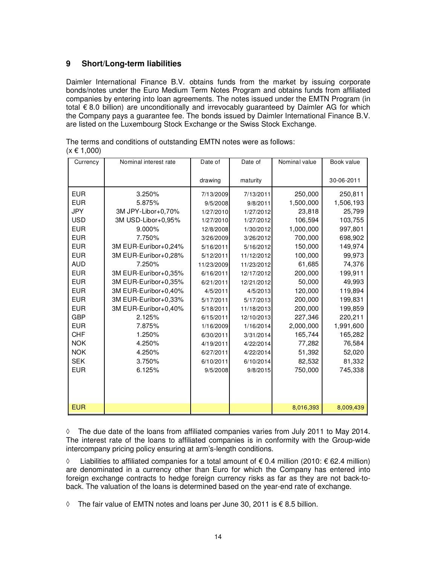### **9 Short/Long-term liabilities**

Daimler International Finance B.V. obtains funds from the market by issuing corporate bonds/notes under the Euro Medium Term Notes Program and obtains funds from affiliated companies by entering into loan agreements. The notes issued under the EMTN Program (in total € 8.0 billion) are unconditionally and irrevocably guaranteed by Daimler AG for which the Company pays a guarantee fee. The bonds issued by Daimler International Finance B.V. are listed on the Luxembourg Stock Exchange or the Swiss Stock Exchange.

| Currency   | Nominal interest rate | Date of    | Date of    | Nominal value | Book value |
|------------|-----------------------|------------|------------|---------------|------------|
|            |                       | drawing    | maturity   |               | 30-06-2011 |
|            |                       |            |            |               |            |
| <b>EUR</b> | 3.250%                | 7/13/2009  | 7/13/2011  | 250,000       | 250,811    |
| <b>EUR</b> | 5.875%                | 9/5/2008   | 9/8/2011   | 1,500,000     | 1,506,193  |
| <b>JPY</b> | 3M JPY-Libor+0,70%    | 1/27/2010  | 1/27/2012  | 23,818        | 25,799     |
| <b>USD</b> | 3M USD-Libor+0,95%    | 1/27/2010  | 1/27/2012  | 106,594       | 103,755    |
| <b>EUR</b> | 9.000%                | 12/8/2008  | 1/30/2012  | 1,000,000     | 997,801    |
| <b>EUR</b> | 7.750%                | 3/26/2009  | 3/26/2012  | 700,000       | 698,902    |
| <b>EUR</b> | 3M EUR-Euribor+0,24%  | 5/16/2011  | 5/16/2012  | 150,000       | 149,974    |
| <b>EUR</b> | 3M EUR-Euribor+0,28%  | 5/12/2011  | 11/12/2012 | 100,000       | 99,973     |
| <b>AUD</b> | 7.250%                | 11/23/2009 | 11/23/2012 | 61,685        | 74,376     |
| <b>EUR</b> | 3M EUR-Euribor+0,35%  | 6/16/2011  | 12/17/2012 | 200,000       | 199,911    |
| <b>EUR</b> | 3M EUR-Euribor+0,35%  | 6/21/2011  | 12/21/2012 | 50,000        | 49,993     |
| <b>EUR</b> | 3M EUR-Euribor+0,40%  | 4/5/2011   | 4/5/2013   | 120,000       | 119,894    |
| <b>EUR</b> | 3M EUR-Euribor+0,33%  | 5/17/2011  | 5/17/2013  | 200,000       | 199,831    |
| <b>EUR</b> | 3M EUR-Euribor+0,40%  | 5/18/2011  | 11/18/2013 | 200,000       | 199,859    |
| <b>GBP</b> | 2.125%                | 6/15/2011  | 12/10/2013 | 227,346       | 220,211    |
| <b>EUR</b> | 7.875%                | 1/16/2009  | 1/16/2014  | 2,000,000     | 1,991,600  |
| <b>CHF</b> | 1.250%                | 6/30/2011  | 3/31/2014  | 165,744       | 165,282    |
| <b>NOK</b> | 4.250%                | 4/19/2011  | 4/22/2014  | 77,282        | 76,584     |
| <b>NOK</b> | 4.250%                | 6/27/2011  | 4/22/2014  | 51,392        | 52,020     |
| <b>SEK</b> | 3.750%                | 6/10/2011  | 6/10/2014  | 82,532        | 81,332     |
| <b>EUR</b> | 6.125%                | 9/5/2008   | 9/8/2015   | 750,000       | 745,338    |
|            |                       |            |            |               |            |
|            |                       |            |            |               |            |
|            |                       |            |            |               |            |
| <b>EUR</b> |                       |            |            | 8,016,393     | 8,009,439  |

The terms and conditions of outstanding EMTN notes were as follows:  $(x \in 1.000)$ 

**◊** The due date of the loans from affiliated companies varies from July 2011 to May 2014. The interest rate of the loans to affiliated companies is in conformity with the Group-wide intercompany pricing policy ensuring at arm's-length conditions.

**◊** Liabilities to affiliated companies for a total amount of € 0.4 million (2010: € 62.4 million) are denominated in a currency other than Euro for which the Company has entered into foreign exchange contracts to hedge foreign currency risks as far as they are not back-toback. The valuation of the loans is determined based on the year-end rate of exchange.

**◊** The fair value of EMTN notes and loans per June 30, 2011 is € 8.5 billion.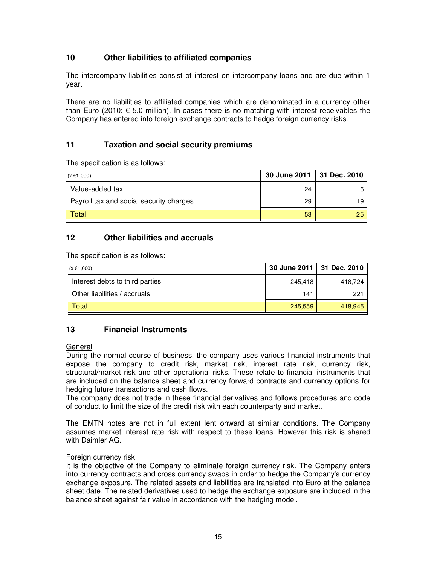# **10 Other liabilities to affiliated companies**

The intercompany liabilities consist of interest on intercompany loans and are due within 1 year.

There are no liabilities to affiliated companies which are denominated in a currency other than Euro (2010: € 5.0 million). In cases there is no matching with interest receivables the Company has entered into foreign exchange contracts to hedge foreign currency risks.

### **11 Taxation and social security premiums**

The specification is as follows:

| $(x \in 1,000)$                         | 30 June 2011 31 Dec. 2010 |    |
|-----------------------------------------|---------------------------|----|
| Value-added tax                         | 24                        |    |
| Payroll tax and social security charges | 29                        |    |
| Total                                   | 53                        | 25 |

### **12 Other liabilities and accruals**

The specification is as follows:

| (x €1,000)                      | 30 June 2011   31 Dec. 2010 |         |
|---------------------------------|-----------------------------|---------|
| Interest debts to third parties | 245,418                     | 418.724 |
| Other liabilities / accruals    | 141                         | 221     |
| Total                           | 245,559                     | 418.945 |

# **13 Financial Instruments**

#### General

During the normal course of business, the company uses various financial instruments that expose the company to credit risk, market risk, interest rate risk, currency risk, structural/market risk and other operational risks. These relate to financial instruments that are included on the balance sheet and currency forward contracts and currency options for hedging future transactions and cash flows.

The company does not trade in these financial derivatives and follows procedures and code of conduct to limit the size of the credit risk with each counterparty and market.

The EMTN notes are not in full extent lent onward at similar conditions. The Company assumes market interest rate risk with respect to these loans. However this risk is shared with Daimler AG.

#### Foreign currency risk

It is the objective of the Company to eliminate foreign currency risk. The Company enters into currency contracts and cross currency swaps in order to hedge the Company's currency exchange exposure. The related assets and liabilities are translated into Euro at the balance sheet date. The related derivatives used to hedge the exchange exposure are included in the balance sheet against fair value in accordance with the hedging model.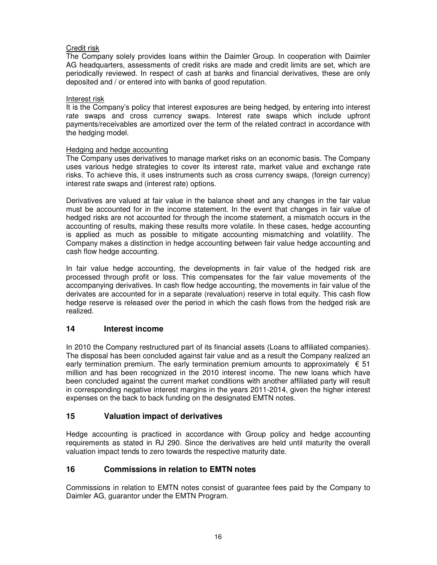#### Credit risk

The Company solely provides loans within the Daimler Group. In cooperation with Daimler AG headquarters, assessments of credit risks are made and credit limits are set, which are periodically reviewed. In respect of cash at banks and financial derivatives, these are only deposited and / or entered into with banks of good reputation.

#### Interest risk

It is the Company's policy that interest exposures are being hedged, by entering into interest rate swaps and cross currency swaps. Interest rate swaps which include upfront payments/receivables are amortized over the term of the related contract in accordance with the hedging model.

#### Hedging and hedge accounting

The Company uses derivatives to manage market risks on an economic basis. The Company uses various hedge strategies to cover its interest rate, market value and exchange rate risks. To achieve this, it uses instruments such as cross currency swaps, (foreign currency) interest rate swaps and (interest rate) options.

Derivatives are valued at fair value in the balance sheet and any changes in the fair value must be accounted for in the income statement. In the event that changes in fair value of hedged risks are not accounted for through the income statement, a mismatch occurs in the accounting of results, making these results more volatile. In these cases, hedge accounting is applied as much as possible to mitigate accounting mismatching and volatility. The Company makes a distinction in hedge accounting between fair value hedge accounting and cash flow hedge accounting.

In fair value hedge accounting, the developments in fair value of the hedged risk are processed through profit or loss. This compensates for the fair value movements of the accompanying derivatives. In cash flow hedge accounting, the movements in fair value of the derivates are accounted for in a separate (revaluation) reserve in total equity. This cash flow hedge reserve is released over the period in which the cash flows from the hedged risk are realized.

### **14 Interest income**

In 2010 the Company restructured part of its financial assets (Loans to affiliated companies). The disposal has been concluded against fair value and as a result the Company realized an early termination premium. The early termination premium amounts to approximately  $\epsilon$  51 million and has been recognized in the 2010 interest income. The new loans which have been concluded against the current market conditions with another affiliated party will result in corresponding negative interest margins in the years 2011-2014, given the higher interest expenses on the back to back funding on the designated EMTN notes.

### **15 Valuation impact of derivatives**

Hedge accounting is practiced in accordance with Group policy and hedge accounting requirements as stated in RJ 290. Since the derivatives are held until maturity the overall valuation impact tends to zero towards the respective maturity date.

### **16 Commissions in relation to EMTN notes**

Commissions in relation to EMTN notes consist of guarantee fees paid by the Company to Daimler AG, guarantor under the EMTN Program.